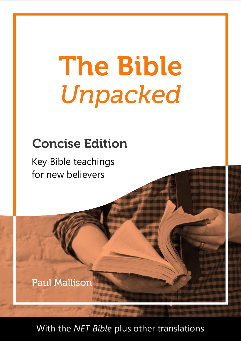# **The Bible** Unpacked

# **Concise Edition**

Key Bible teachings for new believers

**Paul Mallison** 

With the *NET Bible* plus other translations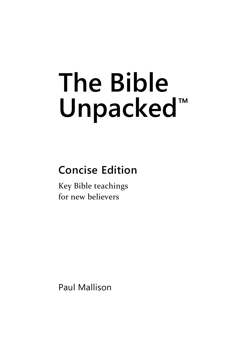# **The Bible Unpacked™**

# **Concise Edition**

Key Bible teachings for new believers

Paul Mallison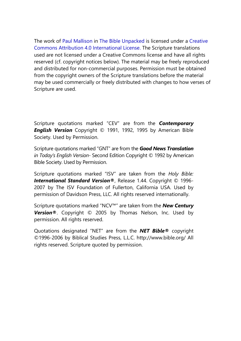The work of [Paul Mallison](https://www.thebibleunpacked.net/about/#The_Author) in [The Bible Unpacked](https://www.thebibleunpacked.net/) is licensed under a [Creative](https://creativecommons.org/licenses/by/4.0)  [Commons Attribution 4.0 International License.](https://creativecommons.org/licenses/by/4.0) The Scripture translations used are not licensed under a Creative Commons license and have all rights reserved (cf. copyright notices below). The material may be freely reproduced and distributed for non-commercial purposes. Permission must be obtained from the copyright owners of the Scripture translations before the material may be used commercially or freely distributed with changes to how verses of Scripture are used.

Scripture quotations marked "CEV" are from the *Contemporary English Version* Copyright © 1991, 1992, 1995 by American Bible Society. Used by Permission.

Scripture quotations marked "GNT" are from the *Good News Translation in Today's English Version*- Second Edition Copyright © 1992 by American Bible Society. Used by Permission.

Scripture quotations marked "ISV" are taken from the *Holy Bible: International Standard Version***®**, Release 1.44. Copyright © 1996- 2007 by The ISV Foundation of Fullerton, California USA. Used by permission of Davidson Press, LLC. All rights reserved internationally.

Scripture quotations marked "NCV™" are taken from the *New Century Version***®**. Copyright © 2005 by Thomas Nelson, Inc. Used by permission. All rights reserved.

Quotations designated "NET" are from the *NET Bible***®** copyright ©1996-2006 by Biblical Studies Press, L.L.C. http://www.bible.org/ All rights reserved. Scripture quoted by permission.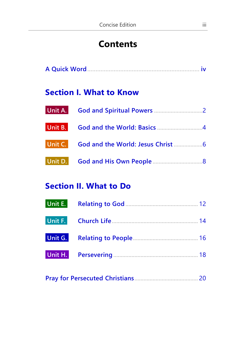# **Contents**

|--|--|--|--|

# **Section I. [What to Know](#page-6-0)**

# **Section II. [What to Do](#page-16-0)**

|--|--|--|--|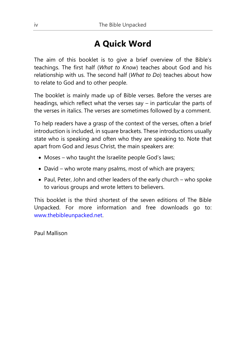# **A Quick Word**

<span id="page-5-0"></span>The aim of this booklet is to give a brief overview of the Bible's teachings. The first half (*What to Know*) teaches about God and his relationship with us. The second half (*What to Do*) teaches about how to relate to God and to other people.

The booklet is mainly made up of Bible verses. Before the verses are headings, which reflect what the verses say – in particular the parts of the verses in italics. The verses are sometimes followed by a comment.

To help readers have a grasp of the context of the verses, often a brief introduction is included, in square brackets. These introductions usually state who is speaking and often who they are speaking to. Note that apart from God and Jesus Christ, the main speakers are:

- Moses who taught the Israelite people God's laws;
- David who wrote many psalms, most of which are prayers;
- Paul, Peter, John and other leaders of the early church who spoke to various groups and wrote letters to believers.

This booklet is the third shortest of the seven editions of The Bible Unpacked. For more information and free downloads go to: [www.thebibleunpacked.net.](https://www.thebibleunpacked.net/)

Paul Mallison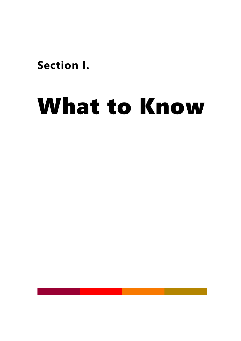<span id="page-6-0"></span>**Section I.**

# What to Know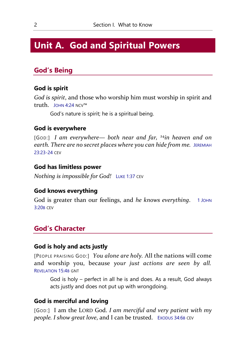# <span id="page-7-0"></span>**Unit A. God and Spiritual Powers**

# **God's Being**

#### **God is spirit**

*God is spirit*, and those who worship him must worship in spirit and truth. JOHN [4:24](https://biblia.com/books/gs-netbible/John4.24) NCV™

God's nature is spirit; he is a spiritual being.

#### **God is everywhere**

[GOD:] *I am everywhere— both near and far,* <sup>24</sup>*in heaven and on earth. There are no secret places where you can hide from me.* J[EREMIAH](https://biblia.com/books/gs-netbible/Jeremiah23.23)  [23:23-24](https://biblia.com/books/gs-netbible/Jeremiah23.23) CEV

#### **God has limitless power**

*Nothing is impossible for God!* LUKE [1:37](https://biblia.com/books/gs-netbible/Luke1.37) CEV

#### **God knows everything**

God is greater than our feelings, and *he knows everything*. 1 JOHN  $3.20B$  CEV

## **God's Character**

#### **God is holy and acts justly**

[PEOPLE PRAISING GOD:] *You alone are holy.* All the nations will come and worship you, because *your just actions are seen by all.* R[EVELATION](https://biblia.com/books/gs-netbible/Revelation15.4) 15:4B GNT

God is holy – perfect in all he is and does. As a result, God always acts justly and does not put up with wrongdoing.

#### **God is merciful and loving**

[GOD:] I am the LORD God. *I am merciful and very patient with my people. I show great love*, and I can be trusted. E[XODUS](https://biblia.com/books/gs-netbible/Exodus34.6) 34:6B CEV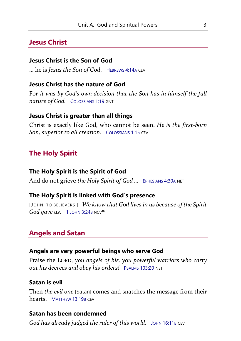# **Jesus Christ**

## **Jesus Christ is the Son of God**

… he is *Jesus the Son of God*. H[EBREWS](https://biblia.com/books/gs-netbible/Hebrews4.14) 4:14<sup>A</sup> CEV

## **Jesus Christ has the nature of God**

For *it was by God's own decision that the Son has in himself the full nature of God.* C[OLOSSIANS](https://biblia.com/books/gs-netbible/Colossians1.19) 1:19 GNT

## **Jesus Christ is greater than all things**

Christ is exactly like God, who cannot be seen. *He is the first-born Son, superior to all creation.* C[OLOSSIANS](https://biblia.com/books/gs-netbible/Colossians1.15) 1:15 CEV

# **The Holy Spirit**

## **The Holy Spirit is the Spirit of God**

And do not grieve *the Holy Spirit of God ...* **E[PHESIANS](https://biblia.com/books/gs-netbible/Ephesians4.30) 4:30A NET** 

# **The Holy Spirit is linked with God's presence**

[JOHN, TO BELIEVERS:] *We know that God lives in us because of the Spirit*  God gave us. 1 JOHN [3:24](https://biblia.com/books/gs-netbible/1John3.24)B NCV™

# **Angels and Satan**

## **Angels are very powerful beings who serve God**

Praise the LORD, *you angels of his, you powerful warriors who carry out his decrees and obey his orders!* PSALMS [103:20](https://biblia.com/books/gs-netbible/Psalms103.20) NET

# **Satan is evil**

Then *the evil one* [Satan] comes and snatches the message from their hearts. M[ATTHEW](https://biblia.com/books/gs-netbible/Matthew13.19) 13:19B CEV

# **Satan has been condemned**

God has already judged the ruler of this world. JOHN [16:11](https://biblia.com/books/gs-netbible/John16.11)B CEV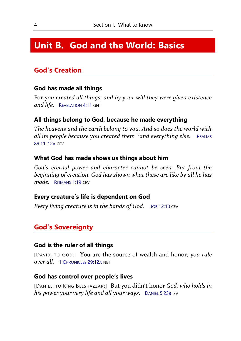# <span id="page-9-0"></span>**Unit B. God and the World: Basics**

# **God's Creation**

#### **God has made all things**

For *you created all things, and by your will they were given existence and life.* R[EVELATION](https://biblia.com/books/gs-netbible/Revelation4.11) 4:11 GNT

#### **All things belong to God, because he made everything**

*The heavens and the earth belong to you. And so does the world with all its people because you created them <sup>12</sup>and everything else.* P[SALMS](https://biblia.com/books/gs-netbible/Psalms89.11)  [89:11-12](https://biblia.com/books/gs-netbible/Psalms89.11)A CEV

#### **What God has made shows us things about him**

*God's eternal power and character cannot be seen. But from the beginning of creation, God has shown what these are like by all he has made.* R[OMANS](https://biblia.com/books/gs-netbible/Romans1.19) 1:19 CEV

#### **Every creature's life is dependent on God**

*Every living creature is in the hands of God.* JOB [12:10](https://biblia.com/books/gs-netbible/Job12.10) CEV

# **God's Sovereignty**

#### **God is the ruler of all things**

[DAVID, TO GOD:] You are the source of wealth and honor; *you rule over all.* 1 C[HRONICLES](https://biblia.com/books/gs-netbible/1Chronicles29.12) 29:12<sup>A</sup> NET

#### **God has control over people's lives**

[DANIEL, TO KING BELSHAZZAR:] But you didn't honor *God, who holds in his power your very life and all your ways*. D[ANIEL](https://biblia.com/books/gs-netbible/Daniel5.23) 5:23<sup>B</sup> ISV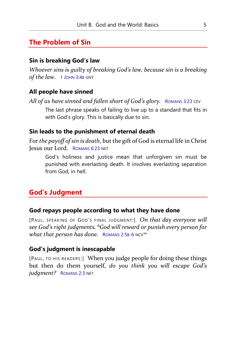## **The Problem of Sin**

#### **Sin is breaking God's law**

*Whoever sins is guilty of breaking God's law, because sin is a breaking*  of the law. 1 J[OHN](https://biblia.com/books/gs-netbible/1John3.4) 3:4B GNT

#### **All people have sinned**

*All of us have sinned and fallen short of God's glory.* R[OMANS](https://biblia.com/books/gs-netbible/Romans3.23) 3:23 CEV The last phrase speaks of failing to live up to a standard that fits in with God's glory. This is basically due to sin.

#### **Sin leads to the punishment of eternal death**

For *the payoff of sin is death*, but the gift of God is eternal life in Christ Jesus our Lord. R[OMANS](https://biblia.com/books/gs-netbible/Romans6.23) 6:23 NET

God's holiness and justice mean that unforgiven sin must be punished with everlasting death. It involves everlasting separation from God, in hell.

## **God's Judgment**

#### **God repays people according to what they have done**

[PAUL, SPEAKING OF GOD'S FINAL JUDGMENT:] *On that day everyone will see God's right judgments.* <sup>6</sup>*God will reward or punish every person for what that person has done.* R[OMANS](https://biblia.com/books/gs-netbible/Romans2.5) 2:5B-6 NCV™

#### **God's judgment is inescapable**

[PAUL, TO HIS READERS:] When you judge people for doing these things but then do them yourself, *do you think you will escape God's judgment?* R[OMANS](https://biblia.com/books/gs-netbible/Romans2.3) 2:3 NET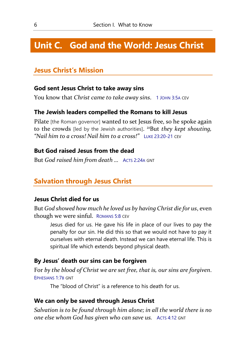# <span id="page-11-0"></span>**Unit C. God and the World: Jesus Christ**

# **Jesus Christ's Mission**

#### **God sent Jesus Christ to take away sins**

You know that *Christ came to take away sins*. 1 J[OHN](https://www.biblia.com/books/gs-netbible/1John3.5) 3:5A CEV

#### **The Jewish leaders compelled the Romans to kill Jesus**

Pilate [the Roman governor] wanted to set Jesus free, so he spoke again to the crowds [led by the Jewish authorities]. <sup>21</sup>But *they kept shouting, "Nail him to a cross! Nail him to a cross!"* LUKE [23:20-21](https://www.biblia.com/books/gs-netbible/Luke23.20) CEV

#### **But God raised Jesus from the dead**

But *God raised him from death …* ACTS [2:24](https://biblia.com/books/gs-netbible/Acts2.24)<sup>A</sup> GNT

### **Salvation through Jesus Christ**

#### **Jesus Christ died for us**

But *God showed how much he loved us by having Christ die for us*, even though we were sinful. R[OMANS](https://biblia.com/books/gs-netbible/Romans5.8) 5:8 CEV

Jesus died for us. He gave his life in place of our lives to pay the penalty for our sin. He did this so that we would not have to pay it ourselves with eternal death. Instead we can have eternal life. This is spiritual life which extends beyond physical death.

#### **By Jesus' death our sins can be forgiven**

For *by the blood of Christ we are set free, that is, our sins are forgiven*. E[PHESIANS](https://biblia.com/books/gs-netbible/Ephesians1.7) 1:7B GNT

The "blood of Christ" is a reference to his death for us.

#### **We can only be saved through Jesus Christ**

*Salvation is to be found through him alone; in all the world there is no one else whom God has given who can save us.* ACTS [4:12](https://biblia.com/books/gs-netbible/Acts4.12) GNT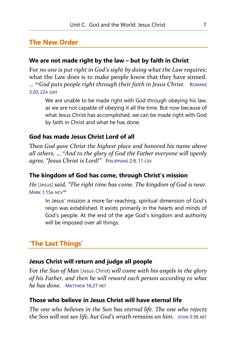## **The New Order**

### **We are not made right by the law – but by faith in Christ**

For *no one is put right in God's sight by doing what the Law requires*; what the Law does is to make people know that they have sinned. … <sup>22</sup>*God puts people right through their faith in Jesus Christ.* R[OMANS](https://biblia.com/books/gs-netbible/Romans3.20)  [3:20,](https://biblia.com/books/gs-netbible/Romans3.20) [22](https://biblia.com/books/gs-netbible/Romans3.22)A GNT

We are unable to be made right with God through obeying his law, as we are not capable of obeying it all the time. But now because of what Jesus Christ has accomplished, we can be made right with God by faith in Christ and what he has done.

#### **God has made Jesus Christ Lord of all**

Then *God gave Christ the highest place and honored his name above all others.* … <sup>11</sup>*And to the glory of God the Father everyone will openly agree, "Jesus Christ is Lord!"* P[HILIPPIANS](https://biblia.com/books/gs-netbible/Philippians2.9) 2:9, [11](https://biblia.com/books/gs-netbible/Philippians2.11) CEV

#### **The kingdom of God has come, through Christ's mission**

*He* [Jesus] *said, "The right time has come. The kingdom of God is near.* MARK [1:15](https://biblia.com/books/gs-netbible/Mark1.15)A NCV™

In Jesus' mission a more far-reaching, spiritual dimension of God's reign was established. It exists primarily in the hearts and minds of God's people. At the end of the age God's kingdom and authority will be imposed over all things.

#### **'The Last Things'**

#### **Jesus Christ will return and judge all people**

For *the Son of Man* [Jesus Christ] *will come with his angels in the glory of his Father, and then he will reward each person according to what he has done.* M[ATTHEW](https://biblia.com/books/gs-netbible/Matthew16.27) 16:27 NET

#### **Those who believe in Jesus Christ will have eternal life**

*The one who believes in the Son has eternal life. The one who rejects the Son will not see life, but God's wrath remains on him.* JOHN [3:36](https://biblia.com/books/gs-netbible/John3.36) NET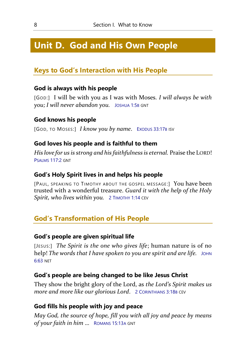# <span id="page-13-0"></span>**Unit D. God and His Own People**

# **Keys to God's Interaction with His People**

#### **God is always with his people**

[GOD:] I will be with you as I was with Moses. *I will always be with*  you; I will never abandon you. J[OSHUA](https://biblia.com/books/gs-netbible/Joshua1.5) 1:5B GNT

#### **God knows his people**

[GOD, TO MOSES:] *I know you by name*. E[XODUS](https://biblia.com/books/gs-netbible/Exodus33.17) 33:17<sup>B</sup> ISV

#### **God loves his people and is faithful to them**

*His love for us is strong and his faithfulness is eternal.* Praise the LORD! PSALMS [117:2](https://biblia.com/books/gs-netbible/Psalms117.2) GNT

#### **God's Holy Spirit lives in and helps his people**

[PAUL, SPEAKING TO TIMOTHY ABOUT THE GOSPEL MESSAGE :] You have been trusted with a wonderful treasure. *Guard it with the help of the Holy Spirit, who lives within you.* 2 T[IMOTHY](https://biblia.com/books/gs-netbible/2Timothy1.14) 1:14 CEV

# **God's Transformation of His People**

#### **God's people are given spiritual life**

[JESUS:] *The Spirit is the one who gives life*; human nature is of no help! The words that I have spoken to you are spirit and are life. JOHN [6:63](https://biblia.com/books/gs-netbible/John6.63) NET

#### **God's people are being changed to be like Jesus Christ**

They show the bright glory of the Lord, as *the Lord's Spirit makes us more and more like our glorious Lord*. 2 C[ORINTHIANS](https://biblia.com/books/gs-netbible/2Corinthians3.18) 3:18<sup>B</sup> CEV

#### **God fills his people with joy and peace**

*May God, the source of hope, fill you with all joy and peace by means of your faith in him* … R[OMANS](https://biblia.com/books/gs-netbible/Romans15.13) 15:13<sup>A</sup> GNT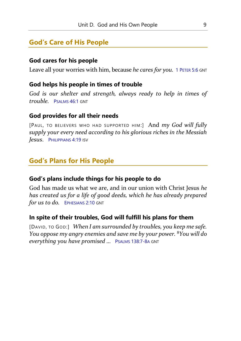# **God's Care of His People**

#### **God cares for his people**

Leave all your worries with him, because *he cares for you*. 1 P[ETER](https://biblia.com/books/gs-netbible/1Peter5.6) 5:6 GNT

#### **God helps his people in times of trouble**

*God is our shelter and strength, always ready to help in times of trouble.* P[SALMS](https://biblia.com/books/gs-netbible/Psalms46.1) 46:1 GNT

#### **God provides for all their needs**

[PAUL, TO BELIEVERS WHO HAD SUPPORTED HIM:] And *my God will fully supply your every need according to his glorious riches in the Messiah Jesus*. P[HILIPPIANS](https://biblia.com/books/gs-netbible/Philippians4.19) 4:19 ISV

## **God's Plans for His People**

#### **God's plans include things for his people to do**

God has made us what we are, and in our union with Christ Jesus *he has created us for a life of good deeds, which he has already prepared for us to do.* E[PHESIANS](https://biblia.com/books/gs-netbible/Ephesians2.10) 2:10 GNT

#### **In spite of their troubles, God will fulfill his plans for them**

[DAVID, TO GOD:] *When I am surrounded by troubles, you keep me safe. You oppose my angry enemies and save me by your power.* <sup>8</sup>*You will do everything you have promised …* PSALMS [138:7-8](https://biblia.com/books/gs-netbible/Psalms138.7)<sup>A</sup> GNT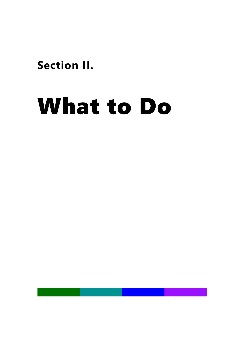<span id="page-16-0"></span>**Section II.**

# What to Do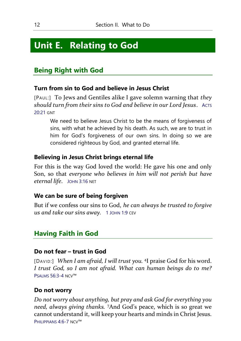# <span id="page-17-0"></span>**Unit E. Relating to God**

# **Being Right with God**

#### **Turn from sin to God and believe in Jesus Christ**

[PAUL:] To Jews and Gentiles alike I gave solemn warning that *they should turn from their sins to God and believe in our Lord Jesus*. A[CTS](https://biblia.com/books/gs-netbible/Acts20.21)  [20:21](https://biblia.com/books/gs-netbible/Acts20.21) GNT

We need to believe Jesus Christ to be the means of forgiveness of sins, with what he achieved by his death. As such, we are to trust in him for God's forgiveness of our own sins. In doing so we are considered righteous by God, and granted eternal life.

#### **Believing in Jesus Christ brings eternal life**

For this is the way God loved the world: He gave his one and only Son, so that *everyone who believes in him will not perish but have eternal life*. JOHN [3:16](https://biblia.com/books/gs-netbible/John3.16) NET

#### **We can be sure of being forgiven**

But if we confess our sins to God, *he can always be trusted to forgive us and take our sins away.* 1 J[OHN](https://biblia.com/books/gs-netbible/1John1.9) 1:9 CEV

# **Having Faith in God**

#### **Do not fear – trust in God**

[DAVID:] *When I am afraid, I will trust you.* <sup>4</sup> I praise God for his word. *I trust God, so I am not afraid. What can human beings do to me?* **PSALMS [56:3-4](https://biblia.com/books/gs-netbible/Psalms56.3) NCV™** 

#### **Do not worry**

*Do not worry about anything, but pray and ask God for everything you need, always giving thanks.* <sup>7</sup>And God's peace, which is so great we cannot understand it, will keep your hearts and minds in Christ Jesus. P[HILIPPIANS](https://biblia.com/books/gs-netbible/Philippians4.6) 4.6-7 NCV™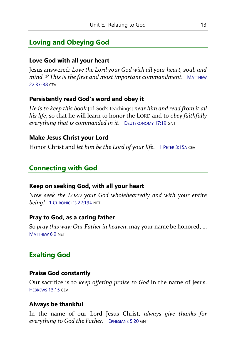# **Loving and Obeying God**

#### **Love God with all your heart**

Jesus answered: *Love the Lord your God with all your heart, soul, and mind.* <sup>38</sup>*This is the first and most important commandment.* M[ATTHEW](https://biblia.com/books/gs-netbible/Matthew22.37)  [22:37-38](https://biblia.com/books/gs-netbible/Matthew22.37) CEV

#### **Persistently read God's word and obey it**

*He is to keep this book* [of God's teachings] *near him and read from it all his life*, so that he will learn to honor the LORD and to *obey faithfully everything that is commanded in it*. D[EUTERONOMY](https://biblia.com/books/gs-netbible/Deuteronomy17.19) 17:19 GNT

#### **Make Jesus Christ your Lord**

Honor Christ and *let him be the Lord of your life*. 1 PETER [3:15](https://biblia.com/books/gs-netbible/1Peter3.15)A CEV

## **Connecting with God**

#### **Keep on seeking God, with all your heart**

Now *seek the LORD your God wholeheartedly and with your entire being!* 1 C[HRONICLES](https://biblia.com/books/gs-netbible/1Chronicles22.19) 22:19<sup>A</sup> NET

#### **Pray to God, as a caring father**

So *pray this way: Our Father in heaven*, may your name be honored, … M[ATTHEW](https://biblia.com/books/gs-netbible/Matthew6.9) 6:9 NET

## **Exalting God**

#### **Praise God constantly**

Our sacrifice is to *keep offering praise to God* in the name of Jesus. H[EBREWS](https://biblia.com/books/gs-netbible/Hebrews13.15) 13:15 CEV

#### **Always be thankful**

In the name of our Lord Jesus Christ, *always give thanks for everything to God the Father.* E[PHESIANS](https://biblia.com/books/gs-netbible/Ephesians5.20) 5:20 GNT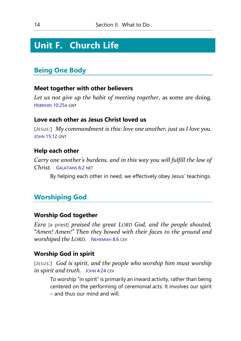# <span id="page-19-0"></span>**Unit F. Church Life**

# **Being One Body**

#### **Meet together with other believers**

*Let us not give up the habit of meeting together*, as some are doing. H[EBREWS](https://biblia.com/books/gs-netbible/Hebrews10.25) 10:25A GNT

#### **Love each other as Jesus Christ loved us**

[JESUS:] *My commandment is this: love one another, just as I love you.* JOHN [15:12](https://biblia.com/books/gs-netbible/John15.12) GNT

#### **Help each other**

*Carry one another's burdens, and in this way you will fulfill the law of Christ.* G[ALATIANS](https://biblia.com/books/gs-netbible/Galatians6.2) 6:2 NET

By helping each other in need, we effectively obey Jesus' teachings.

# **Worshiping God**

#### **Worship God together**

*Ezra* [a priest] *praised the great LORD God, and the people shouted, "Amen! Amen!" Then they bowed with their faces to the ground and worshiped the LORD.* N[EHEMIAH](https://biblia.com/books/gs-netbible/Nehemiah8.6) 8:6 CEV

#### **Worship God in spirit**

[JESUS:] *God is spirit, and the people who worship him must worship in spirit and truth.* JOHN [4:24](https://biblia.com/books/gs-netbible/John4.24) CEV

To worship "in spirit" is primarily an inward activity, rather than being centered on the performing of ceremonial acts. It involves our spirit – and thus our mind and will.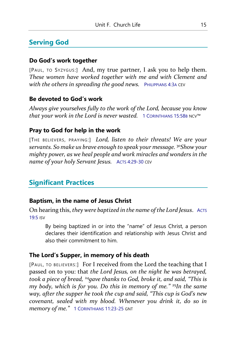# **Serving God**

### **Do God's work together**

[PAUL, TO SYZYGUS:] And, my true partner, I ask you to help them. *These women have worked together with me and with Clement and with the others in spreading the good news.* P[HILIPPIANS](https://biblia.com/books/gs-netbible/Philippians4.3) 4:3<sup>A</sup> CEV

## **Be devoted to God's work**

*Always give yourselves fully to the work of the Lord, because you know*  that your work in the Lord is never wasted. 1 C[ORINTHIANS](https://biblia.com/books/gs-netbible/1Corinthians15.58) 15:58B NCV<sup>™</sup>

## **Pray to God for help in the work**

[THE BELIEVERS, PRAYING:] *Lord, listen to their threats! We are your servants. So make us brave enough to speak your message.* <sup>30</sup>*Show your mighty power, as we heal people and work miracles and wonders in the name of your holy Servant Jesus.* ACTS [4:29-30](https://biblia.com/books/gs-netbible/Acts4.29) CEV

# **Significant Practices**

## **Baptism, in the name of Jesus Christ**

On hearing this, *they were baptized in the name of the Lord Jesus*. A[CTS](https://biblia.com/books/gs-netbible/Acts19.5)  [19:5](https://biblia.com/books/gs-netbible/Acts19.5) ISV

By being baptized in or into the "name" of Jesus Christ, a person declares their identification and relationship with Jesus Christ and also their commitment to him.

# **The Lord's Supper, in memory of his death**

[PAUL, TO BELIEVERS:] For I received from the Lord the teaching that I passed on to you: that *the Lord Jesus, on the night he was betrayed, took a piece of bread,* <sup>24</sup>*gave thanks to God, broke it, and said, "This is my body, which is for you. Do this in memory of me."* <sup>25</sup>*In the same way, after the supper he took the cup and said, "This cup is God's new covenant, sealed with my blood. Whenever you drink it, do so in memory of me."* 1 C[ORINTHIANS](https://biblia.com/books/gs-netbible/1Corinthians11.23) 11:23-25 GNT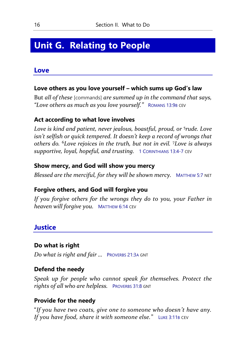# <span id="page-21-0"></span>**Unit G. Relating to People**

# **Love**

#### **Love others as you love yourself – which sums up God's law**

But *all of these* [commands] *are summed up in the command that says, "Love others as much as you love yourself."* R[OMANS](https://biblia.com/books/gs-netbible/Romans13.9) 13:9<sup>B</sup> CEV

#### **Act according to what love involves**

*Love is kind and patient, never jealous, boastful, proud, or* <sup>5</sup> *rude. Love isn't selfish or quick tempered. It doesn't keep a record of wrongs that others do.* <sup>6</sup>*Love rejoices in the truth, but not in evil.* <sup>7</sup>*Love is always supportive, loyal, hopeful, and trusting.* 1 C[ORINTHIANS](https://biblia.com/books/gs-netbible/1Corinthians13.4) 13:4-7 CEV

#### **Show mercy, and God will show you mercy**

*Blessed are the merciful, for they will be shown mercy.* M[ATTHEW](https://biblia.com/books/gs-netbible/Matthew5.7) 5:7 NET

#### **Forgive others, and God will forgive you**

*If you forgive others for the wrongs they do to you, your Father in heaven will forgive you.* M[ATTHEW](https://biblia.com/books/gs-netbible/Matthew6.14) 6:14 CEV

# **Justice**

#### **Do what is right**

*Do what is right and fair …* P[ROVERBS](https://biblia.com/books/gs-netbible/Proverbs21.3) 21:3<sup>A</sup> GNT

#### **Defend the needy**

*Speak up for people who cannot speak for themselves. Protect the rights of all who are helpless.* P[ROVERBS](https://biblia.com/books/gs-netbible/Proverbs31.8) 31:8 GNT

## **Provide for the needy**

"*If you have two coats, give one to someone who doesn't have any.*  If you have food, share it with someone else." LUKE [3:11](https://biblia.com/books/gs-netbible/Luke3.11)B CEV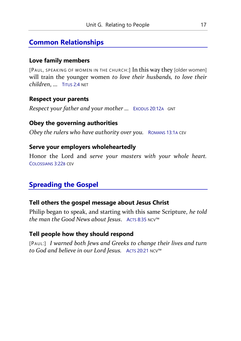# **Common Relationships**

#### **Love family members**

[PAUL, SPEAKING OF WOMEN IN THE CHURCH:] In this way they [older women] will train the younger women *to love their husbands, to love their children*, … T[ITUS](https://biblia.com/books/gs-netbible/Titus2.4) 2:4 NET

#### **Respect your parents**

*Respect your father and your mother …* E[XODUS](https://biblia.com/books/gs-netbible/Exodus20.12) 20:12A GNT

**Obey the governing authorities**

*Obey the rulers who have authority over you.* R[OMANS](https://biblia.com/books/gs-netbible/Romans13.1) 13:1A CEV

#### **Serve your employers wholeheartedly**

Honor the Lord and *serve your masters with your whole heart.* C[OLOSSIANS](https://biblia.com/books/gs-netbible/Colossians3.22) 3:22B CEV

# **Spreading the Gospel**

#### **Tell others the gospel message about Jesus Christ**

Philip began to speak, and starting with this same Scripture, *he told the man the Good News about Jesus*. ACTS [8:35](https://biblia.com/books/gs-netbible/Acts8.35) NCV™

#### **Tell people how they should respond**

[PAUL:] *I warned both Jews and Greeks to change their lives and turn to God and believe in our Lord Jesus.* ACTS [20:21](https://biblia.com/books/gs-netbible/Acts20.21) NCV™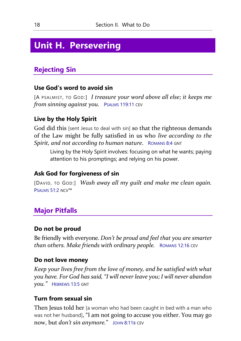# <span id="page-23-0"></span>**Unit H. Persevering**

# **Rejecting Sin**

#### **Use God's word to avoid sin**

[A PSALMIST, TO GOD:] *I treasure your word above all else; it keeps me from sinning against you.* PSALMS [119:11](https://biblia.com/books/gs-netbible/Psalms119.11) CEV

#### **Live by the Holy Spirit**

God did this [sent Jesus to deal with sin] so that the righteous demands of the Law might be fully satisfied in us who *live according to the Spirit, and not according to human nature*. R[OMANS](https://biblia.com/books/gs-netbible/Romans8.4) 8:4 GNT

Living by the Holy Spirit involves: focusing on what he wants; paying attention to his promptings; and relying on his power.

#### **Ask God for forgiveness of sin**

[DAVID, TO GOD:] *Wash away all my guilt and make me clean again.* P[SALMS](https://biblia.com/books/gs-netbible/Psalms51.2) 51:2 NCV™

# **Major Pitfalls**

#### **Do not be proud**

Be friendly with everyone. *Don't be proud and feel that you are smarter than others. Make friends with ordinary people.* R[OMANS](https://biblia.com/books/gs-netbible/Romans12.16) 12:16 CEV

#### **Do not love money**

*Keep your lives free from the love of money, and be satisfied with what you have. For God has said, "I will never leave you; I will never abandon you."* H[EBREWS](https://biblia.com/books/gs-netbible/Hebrews13.5) 13:5 GNT

#### **Turn from sexual sin**

Then Jesus told her Ja woman who had been caught in bed with a man who was not her husband], "I am not going to accuse you either. You may go now, but *don't sin anymore.*" JOHN [8:11](https://biblia.com/books/gs-netbible/John8.11)<sup>B</sup> CEV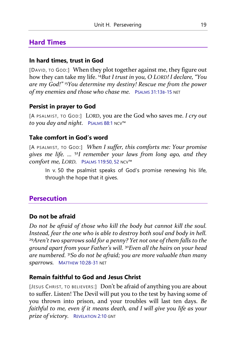### **Hard Times**

#### **In hard times, trust in God**

[DAVID, TO GOD:] When they plot together against me, they figure out how they can take my life. <sup>14</sup>*But I trust in you, O LORD! I declare, "You are my God!"* <sup>15</sup>*You determine my destiny! Rescue me from the power of my enemies and those who chase me.* PSALMS [31:13](https://biblia.com/books/gs-netbible/Psalms31.13)B-15 NET

#### **Persist in prayer to God**

[A PSALMIST, TO GOD:] LORD, you are the God who saves me. *I cry out*  to you day and night. P[SALMS](https://biblia.com/books/gs-netbible/Psalms88.1) 88:1 NCV™

#### **Take comfort in God's word**

[A PSALMIST, TO GOD:] *When I suffer, this comforts me: Your promise gives me life. …* <sup>52</sup>*I remember your laws from long ago, and they comfort me, LORD.* PSALMS [119:50,](https://biblia.com/books/gs-netbible/Psalms119.50) [52](https://biblia.com/books/gs-netbible/Psalms119.52) NCV™

In v. 50 the psalmist speaks of God's promise renewing his life, through the hope that it gives.

#### **Persecution**

#### **Do not be afraid**

*Do not be afraid of those who kill the body but cannot kill the soul. Instead, fear the one who is able to destroy both soul and body in hell.*  <sup>29</sup>*Aren't two sparrows sold for a penny? Yet not one of them falls to the ground apart from your Father's will.* <sup>30</sup>*Even all the hairs on your head are numbered.* <sup>31</sup>*So do not be afraid; you are more valuable than many sparrows.* MATTHEW [10:28-31](https://biblia.com/books/gs-netbible/Matthew10.28) NET

#### **Remain faithful to God and Jesus Christ**

[JESUS CHRIST, TO BELIEVERS:] Don't be afraid of anything you are about to suffer. Listen! The Devil will put you to the test by having some of you thrown into prison, and your troubles will last ten days. *Be faithful to me, even if it means death, and I will give you life as your prize of victory.* R[EVELATION](https://biblia.com/books/gs-netbible/Revelation2.10) 2:10 GNT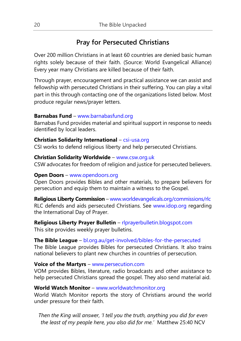# **Pray for Persecuted Christians**

<span id="page-25-0"></span>Over 200 million Christians in at least 60 countries are denied basic human rights solely because of their faith. (Source: World Evangelical Alliance) Every year many Christians are killed because of their faith.

Through prayer, encouragement and practical assistance we can assist and fellowship with persecuted Christians in their suffering. You can play a vital part in this through contacting one of the organizations listed below. Most produce regular news/prayer letters.

#### **Barnabas Fund** – [www.barnabasfund.org](https://www.barnabasfund.org/)

Barnabas Fund provides material and spiritual support in response to needs identified by local leaders.

#### **Christian Solidarity International** – [csi-usa.org](https://csi-usa.org/)

CSI works to defend religious liberty and help persecuted Christians.

#### **Christian Solidarity Worldwide** – [www.csw.org.uk](https://www.csw.org.uk/)

CSW advocates for freedom of religion and justice for persecuted believers.

#### **Open Doors** – [www.opendoors.org](http://www.opendoors.org/)

Open Doors provides Bibles and other materials, to prepare believers for persecution and equip them to maintain a witness to the Gospel.

**Religious Liberty Commission** – [www.worldevangelicals.org/commissions/rlc](http://www.worldevangelicals.org/rlc) RLC defends and aids persecuted Christians. See [www.idop.org](http://www.idop.org/) regarding the International Day of Prayer.

**Religious Liberty Prayer Bulletin** – [rlprayerbulletin.blogspot.com](https://rlprayerbulletin.blogspot.com/) This site provides weekly prayer bulletins.

**The Bible League** – [bl.org.au/get-involved/bibles-for-the-persecuted](https://bl.org.au/get-involved/bibles-for-the-persecuted/) The Bible League provides Bibles for persecuted Christians. It also trains national believers to plant new churches in countries of persecution.

#### **Voice of the Martyrs** – [www.persecution.com](https://www.persecution.com/)

VOM provides Bibles, literature, radio broadcasts and other assistance to help persecuted Christians spread the gospel. They also send material aid.

#### **World Watch Monitor** – [www.worldwatchmonitor.org](http://www.worldwatchmonitor.org/)

World Watch Monitor reports the story of Christians around the world under pressure for their faith.

*Then the King will answer, 'I tell you the truth, anything you did for even the least of my people here, you also did for me.'* Matthew 25:40 NCV